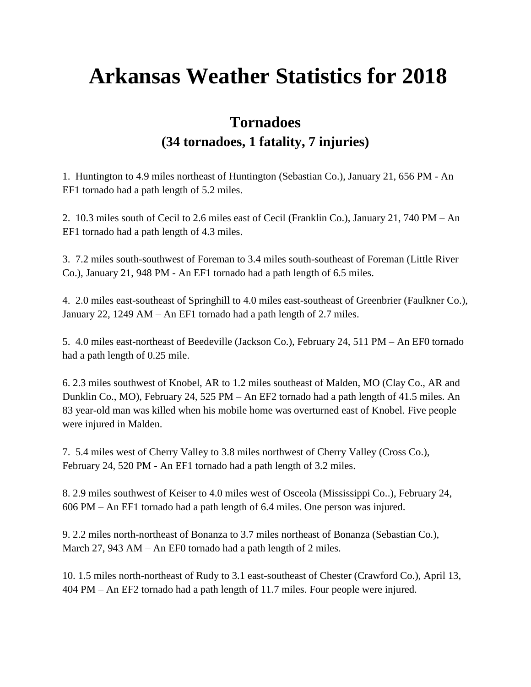# **Arkansas Weather Statistics for 2018**

# **Tornadoes (34 tornadoes, 1 fatality, 7 injuries)**

1. Huntington to 4.9 miles northeast of Huntington (Sebastian Co.), January 21, 656 PM - An EF1 tornado had a path length of 5.2 miles.

2. 10.3 miles south of Cecil to 2.6 miles east of Cecil (Franklin Co.), January 21, 740 PM – An EF1 tornado had a path length of 4.3 miles.

3. 7.2 miles south-southwest of Foreman to 3.4 miles south-southeast of Foreman (Little River Co.), January 21, 948 PM - An EF1 tornado had a path length of 6.5 miles.

4. 2.0 miles east-southeast of Springhill to 4.0 miles east-southeast of Greenbrier (Faulkner Co.), January 22, 1249 AM – An EF1 tornado had a path length of 2.7 miles.

5. 4.0 miles east-northeast of Beedeville (Jackson Co.), February 24, 511 PM – An EF0 tornado had a path length of 0.25 mile.

6. 2.3 miles southwest of Knobel, AR to 1.2 miles southeast of Malden, MO (Clay Co., AR and Dunklin Co., MO), February 24, 525 PM – An EF2 tornado had a path length of 41.5 miles. An 83 year-old man was killed when his mobile home was overturned east of Knobel. Five people were injured in Malden.

7. 5.4 miles west of Cherry Valley to 3.8 miles northwest of Cherry Valley (Cross Co.), February 24, 520 PM - An EF1 tornado had a path length of 3.2 miles.

8. 2.9 miles southwest of Keiser to 4.0 miles west of Osceola (Mississippi Co..), February 24, 606 PM – An EF1 tornado had a path length of 6.4 miles. One person was injured.

9. 2.2 miles north-northeast of Bonanza to 3.7 miles northeast of Bonanza (Sebastian Co.), March 27, 943 AM – An EF0 tornado had a path length of 2 miles.

10. 1.5 miles north-northeast of Rudy to 3.1 east-southeast of Chester (Crawford Co.), April 13, 404 PM – An EF2 tornado had a path length of 11.7 miles. Four people were injured.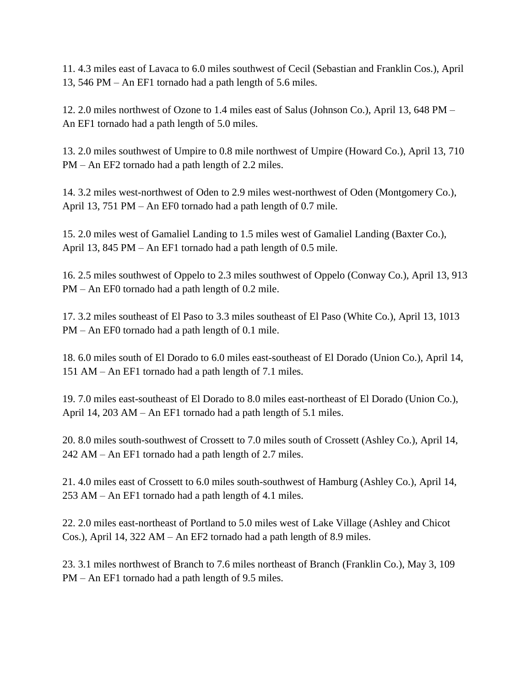11. 4.3 miles east of Lavaca to 6.0 miles southwest of Cecil (Sebastian and Franklin Cos.), April 13, 546 PM – An EF1 tornado had a path length of 5.6 miles.

12. 2.0 miles northwest of Ozone to 1.4 miles east of Salus (Johnson Co.), April 13, 648 PM – An EF1 tornado had a path length of 5.0 miles.

13. 2.0 miles southwest of Umpire to 0.8 mile northwest of Umpire (Howard Co.), April 13, 710 PM – An EF2 tornado had a path length of 2.2 miles.

14. 3.2 miles west-northwest of Oden to 2.9 miles west-northwest of Oden (Montgomery Co.), April 13, 751 PM – An EF0 tornado had a path length of 0.7 mile.

15. 2.0 miles west of Gamaliel Landing to 1.5 miles west of Gamaliel Landing (Baxter Co.), April 13, 845 PM – An EF1 tornado had a path length of 0.5 mile.

16. 2.5 miles southwest of Oppelo to 2.3 miles southwest of Oppelo (Conway Co.), April 13, 913 PM – An EF0 tornado had a path length of 0.2 mile.

17. 3.2 miles southeast of El Paso to 3.3 miles southeast of El Paso (White Co.), April 13, 1013 PM – An EF0 tornado had a path length of 0.1 mile.

18. 6.0 miles south of El Dorado to 6.0 miles east-southeast of El Dorado (Union Co.), April 14, 151 AM – An EF1 tornado had a path length of 7.1 miles.

19. 7.0 miles east-southeast of El Dorado to 8.0 miles east-northeast of El Dorado (Union Co.), April 14, 203 AM – An EF1 tornado had a path length of 5.1 miles.

20. 8.0 miles south-southwest of Crossett to 7.0 miles south of Crossett (Ashley Co.), April 14, 242 AM – An EF1 tornado had a path length of 2.7 miles.

21. 4.0 miles east of Crossett to 6.0 miles south-southwest of Hamburg (Ashley Co.), April 14, 253 AM – An EF1 tornado had a path length of 4.1 miles.

22. 2.0 miles east-northeast of Portland to 5.0 miles west of Lake Village (Ashley and Chicot Cos.), April 14, 322 AM – An EF2 tornado had a path length of 8.9 miles.

23. 3.1 miles northwest of Branch to 7.6 miles northeast of Branch (Franklin Co.), May 3, 109 PM – An EF1 tornado had a path length of 9.5 miles.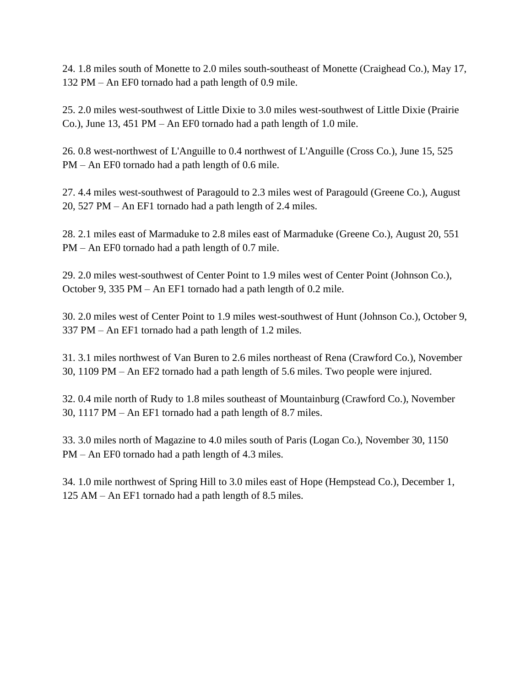24. 1.8 miles south of Monette to 2.0 miles south-southeast of Monette (Craighead Co.), May 17, 132 PM – An EF0 tornado had a path length of 0.9 mile.

25. 2.0 miles west-southwest of Little Dixie to 3.0 miles west-southwest of Little Dixie (Prairie Co.), June 13, 451 PM – An EF0 tornado had a path length of 1.0 mile.

26. 0.8 west-northwest of L'Anguille to 0.4 northwest of L'Anguille (Cross Co.), June 15, 525 PM – An EF0 tornado had a path length of 0.6 mile.

27. 4.4 miles west-southwest of Paragould to 2.3 miles west of Paragould (Greene Co.), August 20, 527 PM – An EF1 tornado had a path length of 2.4 miles.

28. 2.1 miles east of Marmaduke to 2.8 miles east of Marmaduke (Greene Co.), August 20, 551 PM – An EF0 tornado had a path length of 0.7 mile.

29. 2.0 miles west-southwest of Center Point to 1.9 miles west of Center Point (Johnson Co.), October 9, 335 PM – An EF1 tornado had a path length of 0.2 mile.

30. 2.0 miles west of Center Point to 1.9 miles west-southwest of Hunt (Johnson Co.), October 9, 337 PM – An EF1 tornado had a path length of 1.2 miles.

31. 3.1 miles northwest of Van Buren to 2.6 miles northeast of Rena (Crawford Co.), November 30, 1109 PM – An EF2 tornado had a path length of 5.6 miles. Two people were injured.

32. 0.4 mile north of Rudy to 1.8 miles southeast of Mountainburg (Crawford Co.), November 30, 1117 PM – An EF1 tornado had a path length of 8.7 miles.

33. 3.0 miles north of Magazine to 4.0 miles south of Paris (Logan Co.), November 30, 1150 PM – An EF0 tornado had a path length of 4.3 miles.

34. 1.0 mile northwest of Spring Hill to 3.0 miles east of Hope (Hempstead Co.), December 1, 125 AM – An EF1 tornado had a path length of 8.5 miles.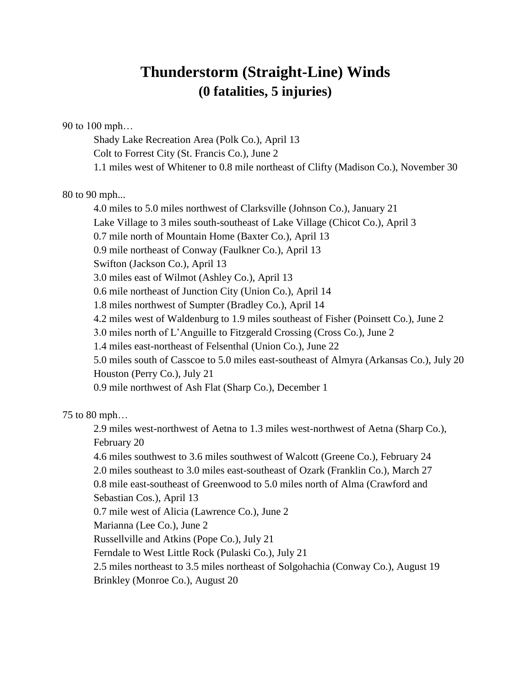# **Thunderstorm (Straight-Line) Winds (0 fatalities, 5 injuries)**

90 to 100 mph…

Shady Lake Recreation Area (Polk Co.), April 13 Colt to Forrest City (St. Francis Co.), June 2 1.1 miles west of Whitener to 0.8 mile northeast of Clifty (Madison Co.), November 30

80 to 90 mph...

4.0 miles to 5.0 miles northwest of Clarksville (Johnson Co.), January 21 Lake Village to 3 miles south-southeast of Lake Village (Chicot Co.), April 3 0.7 mile north of Mountain Home (Baxter Co.), April 13 0.9 mile northeast of Conway (Faulkner Co.), April 13 Swifton (Jackson Co.), April 13 3.0 miles east of Wilmot (Ashley Co.), April 13 0.6 mile northeast of Junction City (Union Co.), April 14 1.8 miles northwest of Sumpter (Bradley Co.), April 14 4.2 miles west of Waldenburg to 1.9 miles southeast of Fisher (Poinsett Co.), June 2 3.0 miles north of L'Anguille to Fitzgerald Crossing (Cross Co.), June 2 1.4 miles east-northeast of Felsenthal (Union Co.), June 22 5.0 miles south of Casscoe to 5.0 miles east-southeast of Almyra (Arkansas Co.), July 20 Houston (Perry Co.), July 21 0.9 mile northwest of Ash Flat (Sharp Co.), December 1

75 to 80 mph…

2.9 miles west-northwest of Aetna to 1.3 miles west-northwest of Aetna (Sharp Co.), February 20

4.6 miles southwest to 3.6 miles southwest of Walcott (Greene Co.), February 24

2.0 miles southeast to 3.0 miles east-southeast of Ozark (Franklin Co.), March 27 0.8 mile east-southeast of Greenwood to 5.0 miles north of Alma (Crawford and Sebastian Cos.), April 13

0.7 mile west of Alicia (Lawrence Co.), June 2

Marianna (Lee Co.), June 2

Russellville and Atkins (Pope Co.), July 21

Ferndale to West Little Rock (Pulaski Co.), July 21

```
2.5 miles northeast to 3.5 miles northeast of Solgohachia (Conway Co.), August 19
```
Brinkley (Monroe Co.), August 20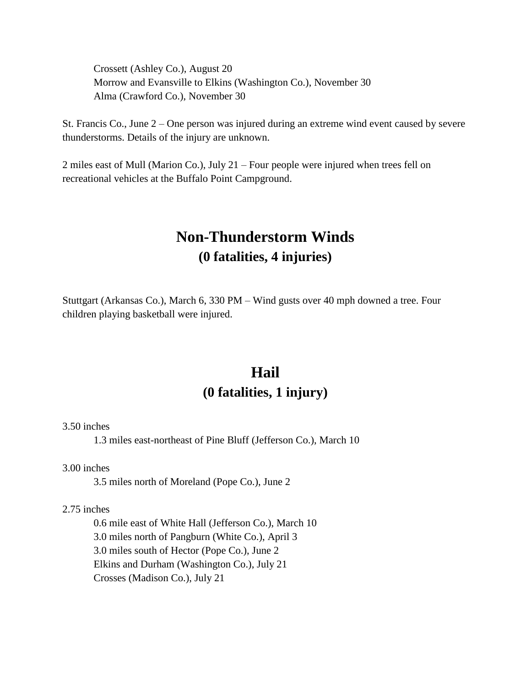Crossett (Ashley Co.), August 20 Morrow and Evansville to Elkins (Washington Co.), November 30 Alma (Crawford Co.), November 30

St. Francis Co., June 2 – One person was injured during an extreme wind event caused by severe thunderstorms. Details of the injury are unknown.

2 miles east of Mull (Marion Co.), July 21 – Four people were injured when trees fell on recreational vehicles at the Buffalo Point Campground.

### **Non-Thunderstorm Winds (0 fatalities, 4 injuries)**

Stuttgart (Arkansas Co.), March 6, 330 PM – Wind gusts over 40 mph downed a tree. Four children playing basketball were injured.

#### **Hail (0 fatalities, 1 injury)**

3.50 inches

1.3 miles east-northeast of Pine Bluff (Jefferson Co.), March 10

3.00 inches

3.5 miles north of Moreland (Pope Co.), June 2

2.75 inches

0.6 mile east of White Hall (Jefferson Co.), March 10 3.0 miles north of Pangburn (White Co.), April 3 3.0 miles south of Hector (Pope Co.), June 2 Elkins and Durham (Washington Co.), July 21 Crosses (Madison Co.), July 21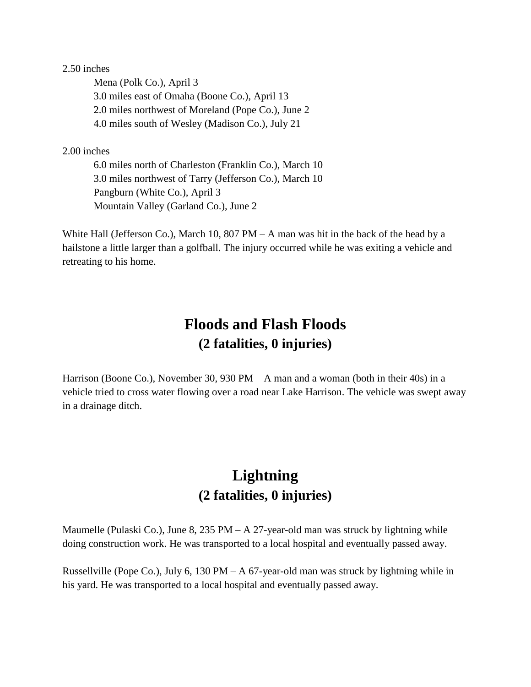2.50 inches

Mena (Polk Co.), April 3 3.0 miles east of Omaha (Boone Co.), April 13 2.0 miles northwest of Moreland (Pope Co.), June 2 4.0 miles south of Wesley (Madison Co.), July 21

2.00 inches

6.0 miles north of Charleston (Franklin Co.), March 10 3.0 miles northwest of Tarry (Jefferson Co.), March 10 Pangburn (White Co.), April 3 Mountain Valley (Garland Co.), June 2

White Hall (Jefferson Co.), March 10, 807  $PM - A$  man was hit in the back of the head by a hailstone a little larger than a golfball. The injury occurred while he was exiting a vehicle and retreating to his home.

# **Floods and Flash Floods (2 fatalities, 0 injuries)**

Harrison (Boone Co.), November 30, 930 PM – A man and a woman (both in their 40s) in a vehicle tried to cross water flowing over a road near Lake Harrison. The vehicle was swept away in a drainage ditch.

# **Lightning (2 fatalities, 0 injuries)**

Maumelle (Pulaski Co.), June 8, 235 PM – A 27-year-old man was struck by lightning while doing construction work. He was transported to a local hospital and eventually passed away.

Russellville (Pope Co.), July 6, 130 PM – A 67-year-old man was struck by lightning while in his yard. He was transported to a local hospital and eventually passed away.